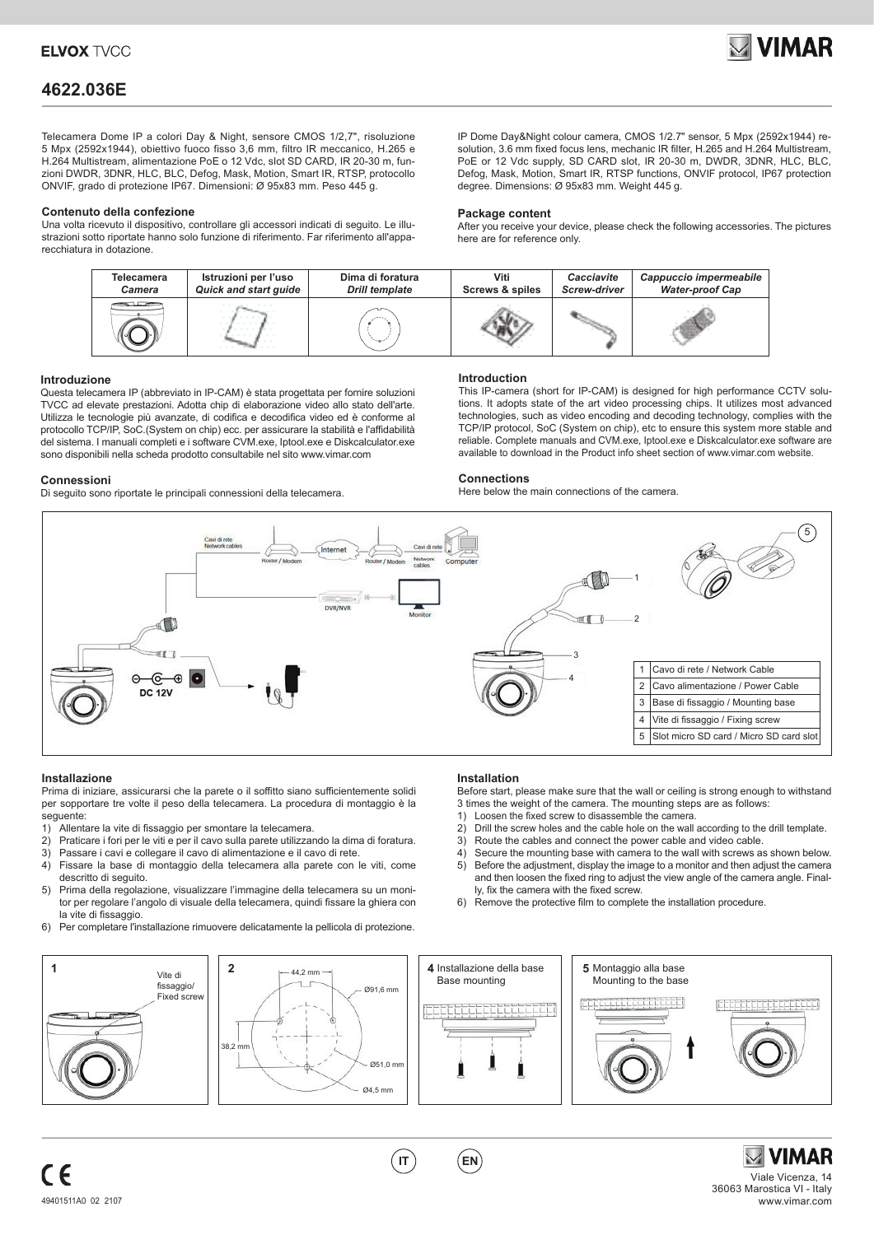

# **4622.036E**

Telecamera Dome IP a colori Day & Night, sensore CMOS 1/2,7", risoluzione 5 Mpx (2592x1944), obiettivo fuoco fisso 3,6 mm, filtro IR meccanico, H.265 e H.264 Multistream, alimentazione PoE o 12 Vdc, slot SD CARD, IR 20-30 m, funzioni DWDR, 3DNR, HLC, BLC, Defog, Mask, Motion, Smart IR, RTSP, protocollo ONVIF, grado di protezione IP67. Dimensioni: Ø 95x83 mm. Peso 445 g.

### **Contenuto della confezione**

Una volta ricevuto il dispositivo, controllare gli accessori indicati di seguito. Le illustrazioni sotto riportate hanno solo funzione di riferimento. Far riferimento all'apparecchiatura in dotazione.

IP Dome Day&Night colour camera, CMOS 1/2.7" sensor, 5 Mpx (2592x1944) resolution, 3.6 mm fixed focus lens, mechanic IR filter, H.265 and H.264 Multistream, PoE or 12 Vdc supply, SD CARD slot, IR 20-30 m, DWDR, 3DNR, HLC, BLC, Defog, Mask, Motion, Smart IR, RTSP functions, ONVIF protocol, IP67 protection degree. Dimensions: Ø 95x83 mm. Weight 445 g.

### **Package content**

After you receive your device, please check the following accessories. The pictures here are for reference only.



### **Introduzione**

Questa telecamera IP (abbreviato in IP-CAM) è stata progettata per fornire soluzioni TVCC ad elevate prestazioni. Adotta chip di elaborazione video allo stato dell'arte. Utilizza le tecnologie più avanzate, di codifica e decodifica video ed è conforme al protocollo TCP/IP, SoC.(System on chip) ecc. per assicurare la stabilità e l'affidabilità del sistema. I manuali completi e i software CVM.exe, Iptool.exe e Diskcalculator.exe sono disponibili nella scheda prodotto consultabile nel sito www.vimar.com

### **Connessioni**

Di seguito sono riportate le principali connessioni della telecamera.

### **Introduction**

This IP-camera (short for IP-CAM) is designed for high performance CCTV solutions. It adopts state of the art video processing chips. It utilizes most advanced technologies, such as video encoding and decoding technology, complies with the TCP/IP protocol, SoC (System on chip), etc to ensure this system more stable and reliable. Complete manuals and CVM.exe, Iptool.exe e Diskcalculator.exe software are available to download in the Product info sheet section of www.vimar.com website.

Before start, please make sure that the wall or ceiling is strong enough to withstand

2) Drill the screw holes and the cable hole on the wall according to the drill template.

4) Secure the mounting base with camera to the wall with screws as shown below.<br>5) Before the adjustment display the image to a monitor and then adjust the camera Before the adjustment, display the image to a monitor and then adjust the camera and then loosen the fixed ring to adjust the view angle of the camera angle. Final-

3 times the weight of the camera. The mounting steps are as follows:<br>1) Loosen the fixed screw to disassemble the camera

3) Route the cables and connect the power cable and video cable.

6) Remove the protective film to complete the installation procedure.

Loosen the fixed screw to disassemble the camera.

ly, fix the camera with the fixed screw.

### **Connections**

**Installation**

Here below the main connections of the camera.



### **Installazione**

Prima di iniziare, assicurarsi che la parete o il soffitto siano sufficientemente solidi per sopportare tre volte il peso della telecamera. La procedura di montaggio è la seguente:

- 1) Allentare la vite di fissaggio per smontare la telecamera.<br>2) Praticare i fori per le viti e per il cavo sulla parete utilizzar
- 2) Praticare i fori per le viti e per il cavo sulla parete utilizzando la dima di foratura.<br>3) Passare i cavi e collegare il cavo di alimentazione e il cavo di rete.
- 3) Passare i cavi e collegare il cavo di alimentazione e il cavo di rete.
- 4) Fissare la base di montaggio della telecamera alla parete con le viti, come descritto di seguito.
- 5) Prima della regolazione, visualizzare l'immagine della telecamera su un monitor per regolare l'angolo di visuale della telecamera, quindi fissare la ghiera con la vite di fissaggio.
- 6) Per completare l'installazione rimuovere delicatamente la pellicola di protezione.

### **<sup>1</sup>** Vite di **2** Installazione della base **4 5** Montaggio alla base 44,2 mm Base mounting Mounting to the base fissaggio/ Fixed screw Ø91,6 mm a da baine da baine a b 38.2 m  $Ø51.0 \text{ m}$  $Q4.5$  mm

# Viale Vicenza, 14 36063 Marostica VI - Italy

11111111

**IT EN**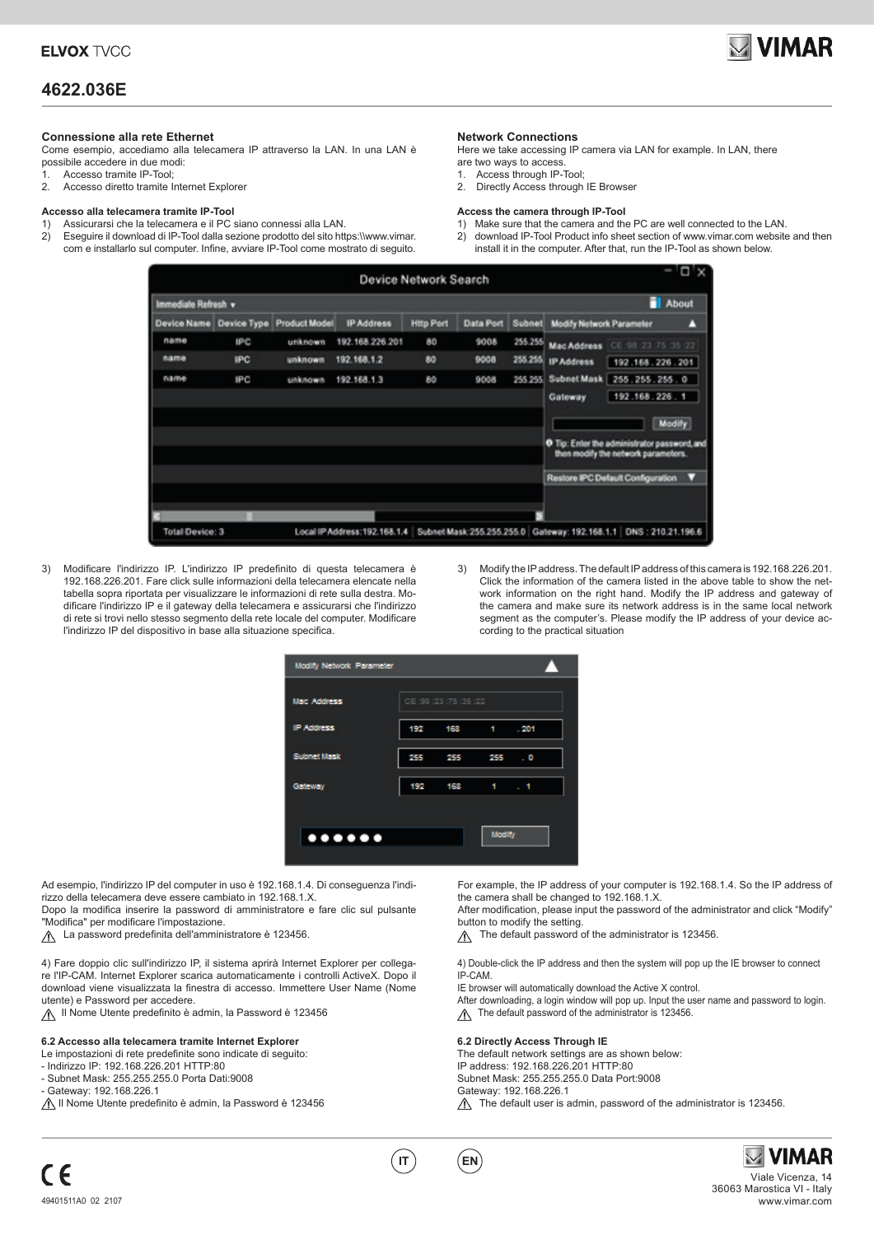

### **4622.036E**

### **Connessione alla rete Ethernet**

Come esempio, accediamo alla telecamera IP attraverso la LAN. In una LAN è possibile accedere in due modi:

- 1. Accesso tramite IP-Tool;
- 2. Accesso diretto tramite Internet Explorer

### **Accesso alla telecamera tramite IP-Tool**

- 1) Assicurarsi che la telecamera e il PC siano connessi alla LAN.
- 2) Eseguire il download di IP-Tool dalla sezione prodotto del sito https:\\www.vimar. com e installarlo sul computer. Infine, avviare IP-Tool come mostrato di seguito.

### **Network Connections**

- Here we take accessing IP camera via LAN for example. In LAN, there
- are two ways to access.
- 1. Access through IP-Tool;
- 2. Directly Access through IE Browser

#### **Access the camera through IP-Tool**

1) Make sure that the camera and the PC are well connected to the LAN. 2) download IP-Tool Product info sheet section of www.vimar.com website and then install it in the computer. After that, run the IP-Tool as shown below.



- 3) Modificare l'indirizzo IP. L'indirizzo IP predefinito di questa telecamera è 192.168.226.201. Fare click sulle informazioni della telecamera elencate nella tabella sopra riportata per visualizzare le informazioni di rete sulla destra. Modificare l'indirizzo IP e il gateway della telecamera e assicurarsi che l'indirizzo di rete si trovi nello stesso segmento della rete locale del computer. Modificare l'indirizzo IP del dispositivo in base alla situazione specifica.
- 3) Modify the IP address. The default IP address of this camera is 192.168.226.201. Click the information of the camera listed in the above table to show the network information on the right hand. Modify the IP address and gateway of the camera and make sure its network address is in the same local network segment as the computer's. Please modify the IP address of your device according to the practical situation



Ad esempio, l'indirizzo IP del computer in uso è 192.168.1.4. Di conseguenza l'indirizzo della telecamera deve essere cambiato in 192.168.1.X.

Dopo la modifica inserire la password di amministratore e fare clic sul pulsante "Modifica" per modificare l'impostazione.

A La password predefinita dell'amministratore è 123456.

4) Fare doppio clic sull'indirizzo IP, il sistema aprirà Internet Explorer per collegare l'IP-CAM. Internet Explorer scarica automaticamente i controlli ActiveX. Dopo il download viene visualizzata la finestra di accesso. Immettere User Name (Nome utente) e Password per accedere.

Il Nome Utente predefinito è admin, la Password è 123456

### **6.2 Accesso alla telecamera tramite Internet Explorer**

- Le impostazioni di rete predefinite sono indicate di seguito:
- Indirizzo IP: 192.168.226.201 HTTP:80
- Subnet Mask: 255.255.255.0 Porta Dati:9008
- Gateway: 192.168.226.1

A Il Nome Utente predefinito è admin, la Password è 123456

For example, the IP address of your computer is 192.168.1.4. So the IP address of the camera shall be changed to 192.168.1.X.

After modification, please input the password of the administrator and click "Modify" button to modify the setting.

The default password of the administrator is 123456.

4) Double-click the IP address and then the system will pop up the IE browser to connect IP-CAM.

IE browser will automatically download the Active X control.

- After downloading, a login window will pop up. Input the user name and password to login.
- $\triangle$  The default password of the administrator is 123456.

#### **6.2 Directly Access Through IE**

The default network settings are as shown below: IP address: 192.168.226.201 HTTP:80 Subnet Mask: 255.255.255.0 Data Port:9008 Gateway: 192.168.226.1  $\triangle$  The default user is admin, password of the administrator is 123456.



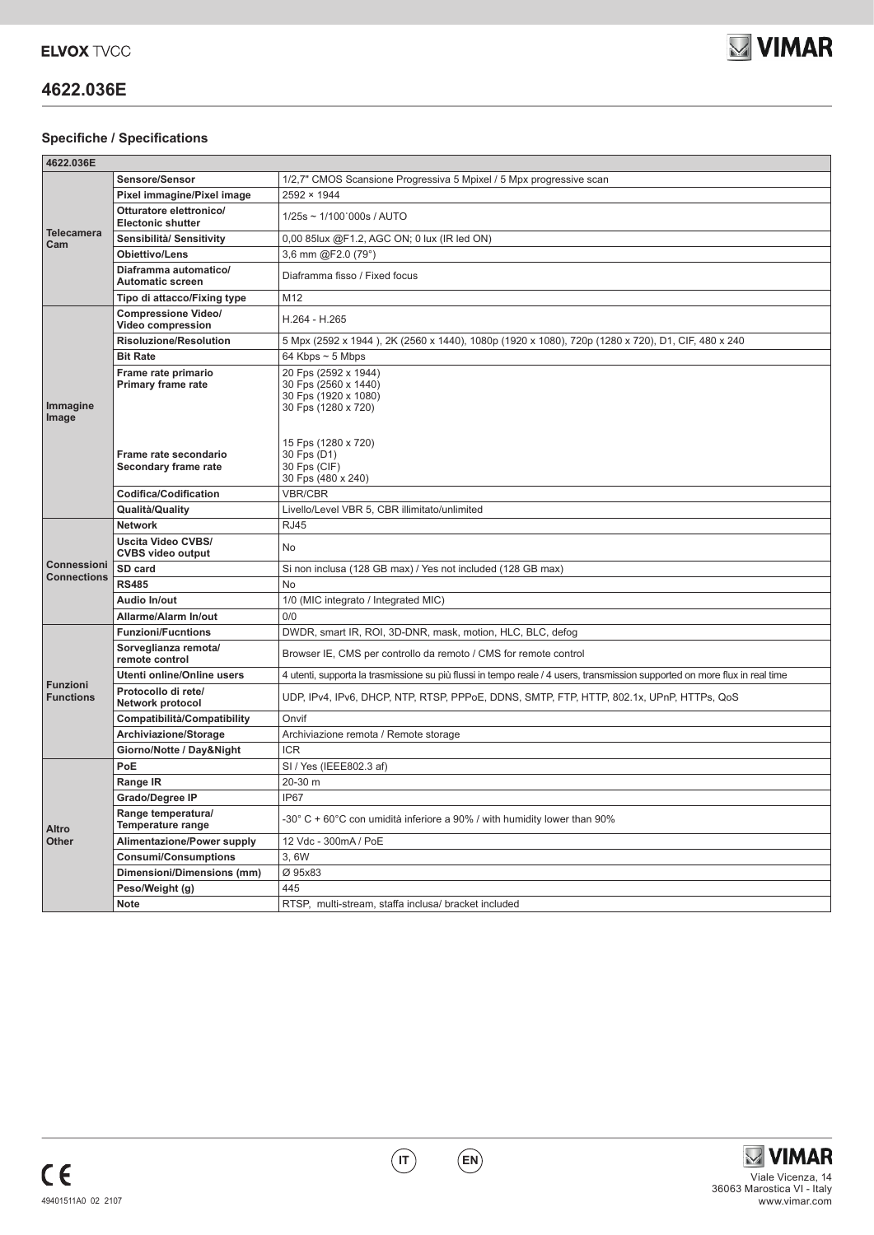

# **4622.036E**

### **Specifiche / Specifications**

| 4622.036E                                |                                                                                            |                                                                                                                                                   |
|------------------------------------------|--------------------------------------------------------------------------------------------|---------------------------------------------------------------------------------------------------------------------------------------------------|
| <b>Telecamera</b><br>Cam                 | Sensore/Sensor                                                                             | 1/2,7" CMOS Scansione Progressiva 5 Mpixel / 5 Mpx progressive scan                                                                               |
|                                          | Pixel immagine/Pixel image                                                                 | 2592 × 1944                                                                                                                                       |
|                                          | Otturatore elettronico/<br><b>Electonic shutter</b>                                        | 1/25s ~ 1/100'000s / AUTO                                                                                                                         |
|                                          | Sensibilità/ Sensitivity                                                                   | 0,00 85lux @F1.2, AGC ON; 0 lux (IR led ON)                                                                                                       |
|                                          | Obiettivo/Lens                                                                             | 3,6 mm @F2.0 (79°)                                                                                                                                |
|                                          | Diaframma automatico/<br><b>Automatic screen</b>                                           | Diaframma fisso / Fixed focus                                                                                                                     |
|                                          | Tipo di attacco/Fixing type                                                                | M12                                                                                                                                               |
| Immagine<br>Image                        | <b>Compressione Video/</b><br>Video compression                                            | H.264 - H.265                                                                                                                                     |
|                                          | <b>Risoluzione/Resolution</b>                                                              | 5 Mpx (2592 x 1944), 2K (2560 x 1440), 1080p (1920 x 1080), 720p (1280 x 720), D1, CIF, 480 x 240                                                 |
|                                          | <b>Bit Rate</b>                                                                            | 64 Kbps $\sim$ 5 Mbps                                                                                                                             |
|                                          | Frame rate primario<br>Primary frame rate<br>Frame rate secondario<br>Secondary frame rate | 20 Fps (2592 x 1944)<br>30 Fps (2560 x 1440)<br>30 Fps (1920 x 1080)<br>30 Fps (1280 x 720)<br>15 Fps (1280 x 720)<br>30 Fps (D1)<br>30 Fps (CIF) |
|                                          |                                                                                            | 30 Fps (480 x 240)                                                                                                                                |
|                                          | <b>Codifica/Codification</b>                                                               | <b>VBR/CBR</b>                                                                                                                                    |
|                                          | Qualità/Quality                                                                            | Livello/Level VBR 5, CBR illimitato/unlimited                                                                                                     |
| <b>Connessioni</b><br><b>Connections</b> | <b>Network</b>                                                                             | <b>RJ45</b>                                                                                                                                       |
|                                          | <b>Uscita Video CVBS/</b><br><b>CVBS video output</b>                                      | No                                                                                                                                                |
|                                          | SD card                                                                                    | Si non inclusa (128 GB max) / Yes not included (128 GB max)                                                                                       |
|                                          | <b>RS485</b>                                                                               | No                                                                                                                                                |
|                                          | Audio In/out                                                                               | 1/0 (MIC integrato / Integrated MIC)                                                                                                              |
|                                          | Allarme/Alarm In/out                                                                       | 0/0                                                                                                                                               |
| <b>Funzioni</b><br><b>Functions</b>      | <b>Funzioni/Fucntions</b>                                                                  | DWDR, smart IR, ROI, 3D-DNR, mask, motion, HLC, BLC, defog                                                                                        |
|                                          | Sorveglianza remota/<br>remote control                                                     | Browser IE, CMS per controllo da remoto / CMS for remote control                                                                                  |
|                                          | Utenti online/Online users                                                                 | 4 utenti, supporta la trasmissione su più flussi in tempo reale / 4 users, transmission supported on more flux in real time                       |
|                                          | Protocollo di rete/<br>Network protocol                                                    | UDP, IPv4, IPv6, DHCP, NTP, RTSP, PPPoE, DDNS, SMTP, FTP, HTTP, 802.1x, UPnP, HTTPs, QoS                                                          |
|                                          | Compatibilità/Compatibility                                                                | Onvif                                                                                                                                             |
|                                          | Archiviazione/Storage                                                                      | Archiviazione remota / Remote storage                                                                                                             |
|                                          | Giorno/Notte / Day&Night                                                                   | <b>ICR</b>                                                                                                                                        |
| Altro<br>Other                           | PoE                                                                                        | SI / Yes (IEEE802.3 af)                                                                                                                           |
|                                          | Range IR                                                                                   | 20-30 m                                                                                                                                           |
|                                          | Grado/Degree IP                                                                            | IP67                                                                                                                                              |
|                                          | Range temperatura/<br>Temperature range                                                    | -30° C + 60°C con umidità inferiore a 90% / with humidity lower than 90%                                                                          |
|                                          | Alimentazione/Power supply                                                                 | 12 Vdc - 300mA / PoE                                                                                                                              |
|                                          | <b>Consumi/Consumptions</b>                                                                | 3,6W                                                                                                                                              |
|                                          | Dimensioni/Dimensions (mm)                                                                 | Ø 95x83                                                                                                                                           |
|                                          | Peso/Weight (g)                                                                            | 445                                                                                                                                               |
|                                          | Note                                                                                       | RTSP, multi-stream, staffa inclusa/ bracket included                                                                                              |

**IT EN**